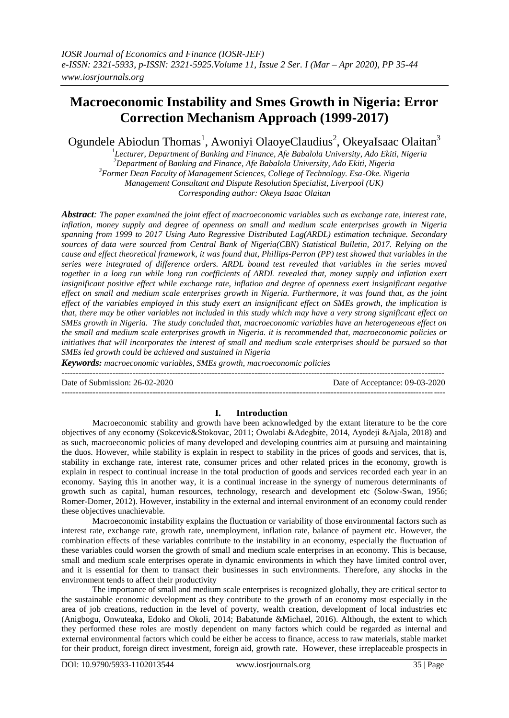# **Macroeconomic Instability and Smes Growth in Nigeria: Error Correction Mechanism Approach (1999-2017)**

Ogundele Abiodun Thomas<sup>1</sup>, Awoniyi OlaoyeClaudius<sup>2</sup>, OkeyaIsaac Olaitan<sup>3</sup>

1 *Lecturer, Department of Banking and Finance, Afe Babalola University, Ado Ekiti, Nigeria <sup>2</sup>Department of Banking and Finance, Afe Babalola University, Ado Ekiti, Nigeria <sup>3</sup>Former Dean Faculty of Management Sciences, College of Technology. Esa-Oke. Nigeria Management Consultant and Dispute Resolution Specialist, Liverpool (UK) Corresponding author: Okeya Isaac Olaitan*

*Abstract: The paper examined the joint effect of macroeconomic variables such as exchange rate, interest rate, inflation, money supply and degree of openness on small and medium scale enterprises growth in Nigeria spanning from 1999 to 2017 Using Auto Regressive Distributed Lag(ARDL) estimation technique. Secondary sources of data were sourced from Central Bank of Nigeria(CBN) Statistical Bulletin, 2017. Relying on the cause and effect theoretical framework, it was found that, Phillips-Perron (PP) test showed that variables in the series were integrated of difference orders. ARDL bound test revealed that variables in the series moved together in a long run while long run coefficients of ARDL revealed that, money supply and inflation exert insignificant positive effect while exchange rate, inflation and degree of openness exert insignificant negative effect on small and medium scale enterprises growth in Nigeria. Furthermore, it was found that, as the joint effect of the variables employed in this study exert an insignificant effect on SMEs growth, the implication is that, there may be other variables not included in this study which may have a very strong significant effect on SMEs growth in Nigeria. The study concluded that, macroeconomic variables have an heterogeneous effect on the small and medium scale enterprises growth in Nigeria. it is recommended that, macroeconomic policies or initiatives that will incorporates the interest of small and medium scale enterprises should be pursued so that SMEs led growth could be achieved and sustained in Nigeria*

*Keywords: macroeconomic variables, SMEs growth, macroeconomic policies*

Date of Submission: 26-02-2020 Date of Acceptance: 09-03-2020

## **I. Introduction**

Macroeconomic stability and growth have been acknowledged by the extant literature to be the core objectives of any economy (Sokcevic&Stokovac, 2011; Owolabi &Adegbite, 2014, Ayodeji &Ajala, 2018) and as such, macroeconomic policies of many developed and developing countries aim at pursuing and maintaining the duos. However, while stability is explain in respect to stability in the prices of goods and services, that is, stability in exchange rate, interest rate, consumer prices and other related prices in the economy, growth is explain in respect to continual increase in the total production of goods and services recorded each year in an economy. Saying this in another way, it is a continual increase in the synergy of numerous determinants of growth such as capital, human resources, technology, research and development etc (Solow-Swan, 1956; Romer-Domer, 2012). However, instability in the external and internal environment of an economy could render these objectives unachievable.

Macroeconomic instability explains the fluctuation or variability of those environmental factors such as interest rate, exchange rate, growth rate, unemployment, inflation rate, balance of payment etc. However, the combination effects of these variables contribute to the instability in an economy, especially the fluctuation of these variables could worsen the growth of small and medium scale enterprises in an economy. This is because, small and medium scale enterprises operate in dynamic environments in which they have limited control over, and it is essential for them to transact their businesses in such environments. Therefore, any shocks in the environment tends to affect their productivity

The importance of small and medium scale enterprises is recognized globally, they are critical sector to the sustainable economic development as they contribute to the growth of an economy most especially in the area of job creations, reduction in the level of poverty, wealth creation, development of local industries etc (Anigbogu, Onwuteaka, Edoko and Okoli, 2014; Babatunde &Michael, 2016). Although, the extent to which they performed these roles are mostly dependent on many factors which could be regarded as internal and external environmental factors which could be either be access to finance, access to raw materials, stable market for their product, foreign direct investment, foreign aid, growth rate. However, these irreplaceable prospects in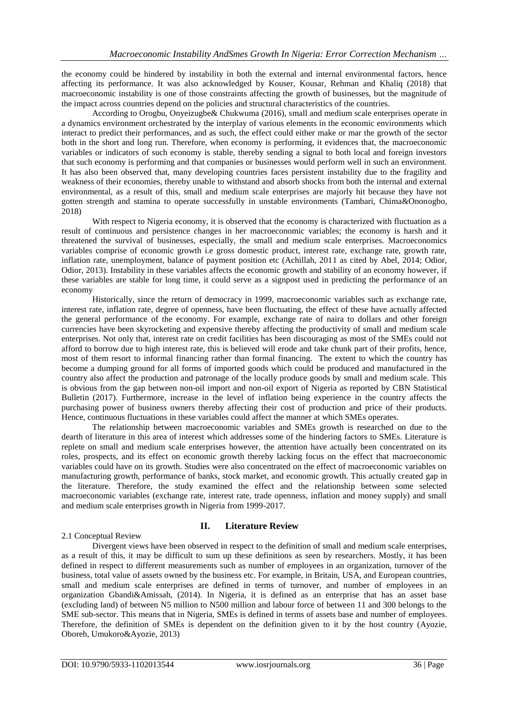the economy could be hindered by instability in both the external and internal environmental factors, hence affecting its performance. It was also acknowledged by Kouser, Kousar, Rehman and Khaliq (2018) that macroeconomic instability is one of those constraints affecting the growth of businesses, but the magnitude of the impact across countries depend on the policies and structural characteristics of the countries.

According to Orogbu, Onyeizugbe& Chukwuma (2016), small and medium scale enterprises operate in a dynamics environment orchestrated by the interplay of various elements in the economic environments which interact to predict their performances, and as such, the effect could either make or mar the growth of the sector both in the short and long run. Therefore, when economy is performing, it evidences that, the macroeconomic variables or indicators of such economy is stable, thereby sending a signal to both local and foreign investors that such economy is performing and that companies or businesses would perform well in such an environment. It has also been observed that, many developing countries faces persistent instability due to the fragility and weakness of their economies, thereby unable to withstand and absorb shocks from both the internal and external environmental, as a result of this, small and medium scale enterprises are majorly hit because they have not gotten strength and stamina to operate successfully in unstable environments (Tambari, Chima&Ononogbo, 2018)

With respect to Nigeria economy, it is observed that the economy is characterized with fluctuation as a result of continuous and persistence changes in her macroeconomic variables; the economy is harsh and it threatened the survival of businesses, especially, the small and medium scale enterprises. Macroeconomics variables comprise of economic growth i.e gross domestic product, interest rate, exchange rate, growth rate, inflation rate, unemployment, balance of payment position etc (Achillah, 2011 as cited by Abel, 2014; Odior, Odior, 2013). Instability in these variables affects the economic growth and stability of an economy however, if these variables are stable for long time, it could serve as a signpost used in predicting the performance of an economy

Historically, since the return of democracy in 1999, macroeconomic variables such as exchange rate, interest rate, inflation rate, degree of openness, have been fluctuating, the effect of these have actually affected the general performance of the economy. For example, exchange rate of naira to dollars and other foreign currencies have been skyrocketing and expensive thereby affecting the productivity of small and medium scale enterprises. Not only that, interest rate on credit facilities has been discouraging as most of the SMEs could not afford to borrow due to high interest rate, this is believed will erode and take chunk part of their profits, hence, most of them resort to informal financing rather than formal financing. The extent to which the country has become a dumping ground for all forms of imported goods which could be produced and manufactured in the country also affect the production and patronage of the locally produce goods by small and medium scale. This is obvious from the gap between non-oil import and non-oil export of Nigeria as reported by CBN Statistical Bulletin (2017). Furthermore, increase in the level of inflation being experience in the country affects the purchasing power of business owners thereby affecting their cost of production and price of their products. Hence, continuous fluctuations in these variables could affect the manner at which SMEs operates.

The relationship between macroeconomic variables and SMEs growth is researched on due to the dearth of literature in this area of interest which addresses some of the hindering factors to SMEs. Literature is replete on small and medium scale enterprises however, the attention have actually been concentrated on its roles, prospects, and its effect on economic growth thereby lacking focus on the effect that macroeconomic variables could have on its growth. Studies were also concentrated on the effect of macroeconomic variables on manufacturing growth, performance of banks, stock market, and economic growth. This actually created gap in the literature. Therefore, the study examined the effect and the relationship between some selected macroeconomic variables (exchange rate, interest rate, trade openness, inflation and money supply) and small and medium scale enterprises growth in Nigeria from 1999-2017.

## 2.1 Conceptual Review

## **II. Literature Review**

Divergent views have been observed in respect to the definition of small and medium scale enterprises, as a result of this, it may be difficult to sum up these definitions as seen by researchers. Mostly, it has been defined in respect to different measurements such as number of employees in an organization, turnover of the business, total value of assets owned by the business etc. For example, in Britain, USA, and European countries, small and medium scale enterprises are defined in terms of turnover, and number of employees in an organization Gbandi&Amissah, (2014). In Nigeria, it is defined as an enterprise that has an asset base (excluding land) of between N5 million to N500 million and labour force of between 11 and 300 belongs to the SME sub-sector. This means that in Nigeria, SMEs is defined in terms of assets base and number of employees. Therefore, the definition of SMEs is dependent on the definition given to it by the host country (Ayozie, Oboreh, Umukoro&Ayozie, 2013)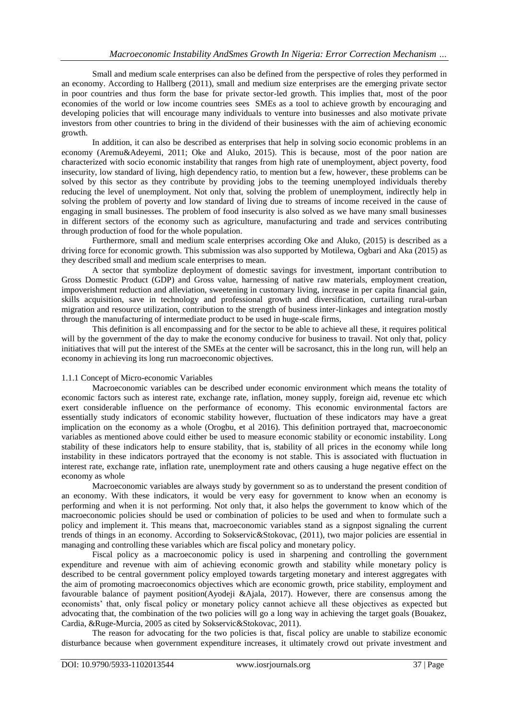Small and medium scale enterprises can also be defined from the perspective of roles they performed in an economy. According to Hallberg (2011), small and medium size enterprises are the emerging private sector in poor countries and thus form the base for private sector-led growth. This implies that, most of the poor economies of the world or low income countries sees SMEs as a tool to achieve growth by encouraging and developing policies that will encourage many individuals to venture into businesses and also motivate private investors from other countries to bring in the dividend of their businesses with the aim of achieving economic growth.

In addition, it can also be described as enterprises that help in solving socio economic problems in an economy (Aremu&Adeyemi, 2011; Oke and Aluko, 2015). This is because, most of the poor nation are characterized with socio economic instability that ranges from high rate of unemployment, abject poverty, food insecurity, low standard of living, high dependency ratio, to mention but a few, however, these problems can be solved by this sector as they contribute by providing jobs to the teeming unemployed individuals thereby reducing the level of unemployment. Not only that, solving the problem of unemployment, indirectly help in solving the problem of poverty and low standard of living due to streams of income received in the cause of engaging in small businesses. The problem of food insecurity is also solved as we have many small businesses in different sectors of the economy such as agriculture, manufacturing and trade and services contributing through production of food for the whole population.

Furthermore, small and medium scale enterprises according Oke and Aluko, (2015) is described as a driving force for economic growth. This submission was also supported by Motilewa, Ogbari and Aka (2015) as they described small and medium scale enterprises to mean.

A sector that symbolize deployment of domestic savings for investment, important contribution to Gross Domestic Product (GDP) and Gross value, harnessing of native raw materials, employment creation, impoverishment reduction and alleviation, sweetening in customary living, increase in per capita financial gain, skills acquisition, save in technology and professional growth and diversification, curtailing rural-urban migration and resource utilization, contribution to the strength of business inter-linkages and integration mostly through the manufacturing of intermediate product to be used in huge-scale firms,

This definition is all encompassing and for the sector to be able to achieve all these, it requires political will by the government of the day to make the economy conducive for business to travail. Not only that, policy initiatives that will put the interest of the SMEs at the center will be sacrosanct, this in the long run, will help an economy in achieving its long run macroeconomic objectives.

## 1.1.1 Concept of Micro-economic Variables

Macroeconomic variables can be described under economic environment which means the totality of economic factors such as interest rate, exchange rate, inflation, money supply, foreign aid, revenue etc which exert considerable influence on the performance of economy. This economic environmental factors are essentially study indicators of economic stability however, fluctuation of these indicators may have a great implication on the economy as a whole (Orogbu, et al 2016). This definition portrayed that, macroeconomic variables as mentioned above could either be used to measure economic stability or economic instability. Long stability of these indicators help to ensure stability, that is, stability of all prices in the economy while long instability in these indicators portrayed that the economy is not stable. This is associated with fluctuation in interest rate, exchange rate, inflation rate, unemployment rate and others causing a huge negative effect on the economy as whole

Macroeconomic variables are always study by government so as to understand the present condition of an economy. With these indicators, it would be very easy for government to know when an economy is performing and when it is not performing. Not only that, it also helps the government to know which of the macroeconomic policies should be used or combination of policies to be used and when to formulate such a policy and implement it. This means that, macroeconomic variables stand as a signpost signaling the current trends of things in an economy. According to Sokservic&Stokovac, (2011), two major policies are essential in managing and controlling these variables which are fiscal policy and monetary policy.

Fiscal policy as a macroeconomic policy is used in sharpening and controlling the government expenditure and revenue with aim of achieving economic growth and stability while monetary policy is described to be central government policy employed towards targeting monetary and interest aggregates with the aim of promoting macroeconomics objectives which are economic growth, price stability, employment and favourable balance of payment position(Ayodeji &Ajala, 2017). However, there are consensus among the economists' that, only fiscal policy or monetary policy cannot achieve all these objectives as expected but advocating that, the combination of the two policies will go a long way in achieving the target goals (Bouakez, Cardia, &Ruge-Murcia, 2005 as cited by Sokservic&Stokovac, 2011).

The reason for advocating for the two policies is that, fiscal policy are unable to stabilize economic disturbance because when government expenditure increases, it ultimately crowd out private investment and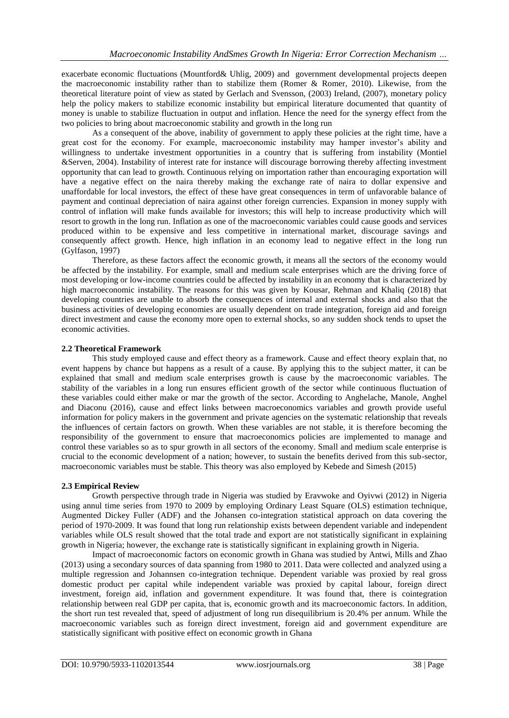exacerbate economic fluctuations (Mountford& Uhlig, 2009) and government developmental projects deepen the macroeconomic instability rather than to stabilize them (Romer & Romer, 2010). Likewise, from the theoretical literature point of view as stated by Gerlach and Svensson, (2003) Ireland, (2007), monetary policy help the policy makers to stabilize economic instability but empirical literature documented that quantity of money is unable to stabilize fluctuation in output and inflation. Hence the need for the synergy effect from the two policies to bring about macroeconomic stability and growth in the long run

As a consequent of the above, inability of government to apply these policies at the right time, have a great cost for the economy. For example, macroeconomic instability may hamper investor's ability and willingness to undertake investment opportunities in a country that is suffering from instability (Montiel &Serven, 2004). Instability of interest rate for instance will discourage borrowing thereby affecting investment opportunity that can lead to growth. Continuous relying on importation rather than encouraging exportation will have a negative effect on the naira thereby making the exchange rate of naira to dollar expensive and unaffordable for local investors, the effect of these have great consequences in term of unfavorable balance of payment and continual depreciation of naira against other foreign currencies. Expansion in money supply with control of inflation will make funds available for investors; this will help to increase productivity which will resort to growth in the long run. Inflation as one of the macroeconomic variables could cause goods and services produced within to be expensive and less competitive in international market, discourage savings and consequently affect growth. Hence, high inflation in an economy lead to negative effect in the long run (Gylfason, 1997)

Therefore, as these factors affect the economic growth, it means all the sectors of the economy would be affected by the instability. For example, small and medium scale enterprises which are the driving force of most developing or low-income countries could be affected by instability in an economy that is characterized by high macroeconomic instability. The reasons for this was given by Kousar, Rehman and Khaliq (2018) that developing countries are unable to absorb the consequences of internal and external shocks and also that the business activities of developing economies are usually dependent on trade integration, foreign aid and foreign direct investment and cause the economy more open to external shocks, so any sudden shock tends to upset the economic activities.

## **2.2 Theoretical Framework**

This study employed cause and effect theory as a framework. Cause and effect theory explain that, no event happens by chance but happens as a result of a cause. By applying this to the subject matter, it can be explained that small and medium scale enterprises growth is cause by the macroeconomic variables. The stability of the variables in a long run ensures efficient growth of the sector while continuous fluctuation of these variables could either make or mar the growth of the sector. According to Anghelache, Manole, Anghel and Diaconu (2016), cause and effect links between macroeconomics variables and growth provide useful information for policy makers in the government and private agencies on the systematic relationship that reveals the influences of certain factors on growth. When these variables are not stable, it is therefore becoming the responsibility of the government to ensure that macroeconomics policies are implemented to manage and control these variables so as to spur growth in all sectors of the economy. Small and medium scale enterprise is crucial to the economic development of a nation; however, to sustain the benefits derived from this sub-sector, macroeconomic variables must be stable. This theory was also employed by Kebede and Simesh (2015)

## **2.3 Empirical Review**

Growth perspective through trade in Nigeria was studied by Eravwoke and Oyivwi (2012) in Nigeria using annul time series from 1970 to 2009 by employing Ordinary Least Square (OLS) estimation technique, Augmented Dickey Fuller (ADF) and the Johansen co-integration statistical approach on data covering the period of 1970-2009. It was found that long run relationship exists between dependent variable and independent variables while OLS result showed that the total trade and export are not statistically significant in explaining growth in Nigeria; however, the exchange rate is statistically significant in explaining growth in Nigeria.

Impact of macroeconomic factors on economic growth in Ghana was studied by Antwi, Mills and Zhao (2013) using a secondary sources of data spanning from 1980 to 2011. Data were collected and analyzed using a multiple regression and Johannsen co-integration technique. Dependent variable was proxied by real gross domestic product per capital while independent variable was proxied by capital labour, foreign direct investment, foreign aid, inflation and government expenditure. It was found that, there is cointegration relationship between real GDP per capita, that is, economic growth and its macroeconomic factors. In addition, the short run test revealed that, speed of adjustment of long run disequilibrium is 20.4% per annum. While the macroeconomic variables such as foreign direct investment, foreign aid and government expenditure are statistically significant with positive effect on economic growth in Ghana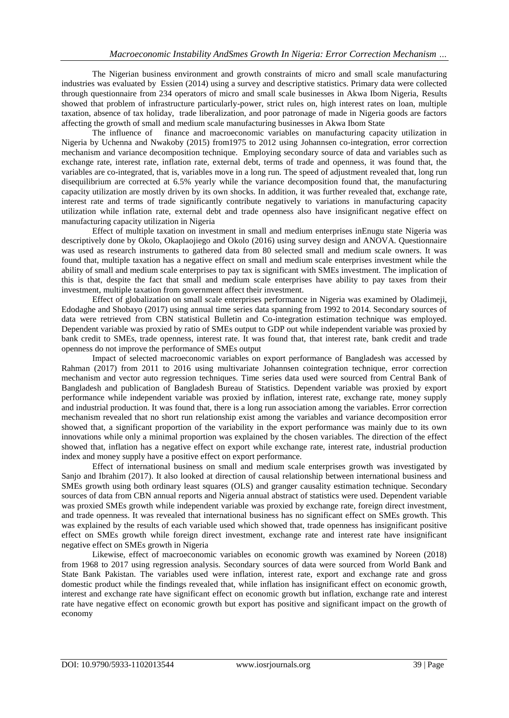The Nigerian business environment and growth constraints of micro and small scale manufacturing industries was evaluated by Essien (2014) using a survey and descriptive statistics. Primary data were collected through questionnaire from 234 operators of micro and small scale businesses in Akwa Ibom Nigeria, Results showed that problem of infrastructure particularly-power, strict rules on, high interest rates on loan, multiple taxation, absence of tax holiday, trade liberalization, and poor patronage of made in Nigeria goods are factors affecting the growth of small and medium scale manufacturing businesses in Akwa Ibom State

The influence of finance and macroeconomic variables on manufacturing capacity utilization in Nigeria by Uchenna and Nwakoby (2015) from1975 to 2012 using Johannsen co-integration, error correction mechanism and variance decomposition technique. Employing secondary source of data and variables such as exchange rate, interest rate, inflation rate, external debt, terms of trade and openness, it was found that, the variables are co-integrated, that is, variables move in a long run. The speed of adjustment revealed that, long run disequilibrium are corrected at 6.5% yearly while the variance decomposition found that, the manufacturing capacity utilization are mostly driven by its own shocks. In addition, it was further revealed that, exchange rate, interest rate and terms of trade significantly contribute negatively to variations in manufacturing capacity utilization while inflation rate, external debt and trade openness also have insignificant negative effect on manufacturing capacity utilization in Nigeria

Effect of multiple taxation on investment in small and medium enterprises inEnugu state Nigeria was descriptively done by Okolo, Okaplaojiego and Okolo (2016) using survey design and ANOVA. Questionnaire was used as research instruments to gathered data from 80 selected small and medium scale owners. It was found that, multiple taxation has a negative effect on small and medium scale enterprises investment while the ability of small and medium scale enterprises to pay tax is significant with SMEs investment. The implication of this is that, despite the fact that small and medium scale enterprises have ability to pay taxes from their investment, multiple taxation from government affect their investment.

Effect of globalization on small scale enterprises performance in Nigeria was examined by Oladimeji, Edodaghe and Shobayo (2017) using annual time series data spanning from 1992 to 2014. Secondary sources of data were retrieved from CBN statistical Bulletin and Co-integration estimation technique was employed. Dependent variable was proxied by ratio of SMEs output to GDP out while independent variable was proxied by bank credit to SMEs, trade openness, interest rate. It was found that, that interest rate, bank credit and trade openness do not improve the performance of SMEs output

Impact of selected macroeconomic variables on export performance of Bangladesh was accessed by Rahman (2017) from 2011 to 2016 using multivariate Johannsen cointegration technique, error correction mechanism and vector auto regression techniques. Time series data used were sourced from Central Bank of Bangladesh and publication of Bangladesh Bureau of Statistics. Dependent variable was proxied by export performance while independent variable was proxied by inflation, interest rate, exchange rate, money supply and industrial production. It was found that, there is a long run association among the variables. Error correction mechanism revealed that no short run relationship exist among the variables and variance decomposition error showed that, a significant proportion of the variability in the export performance was mainly due to its own innovations while only a minimal proportion was explained by the chosen variables. The direction of the effect showed that, inflation has a negative effect on export while exchange rate, interest rate, industrial production index and money supply have a positive effect on export performance.

Effect of international business on small and medium scale enterprises growth was investigated by Sanjo and Ibrahim (2017). It also looked at direction of causal relationship between international business and SMEs growth using both ordinary least squares (OLS) and granger causality estimation technique. Secondary sources of data from CBN annual reports and Nigeria annual abstract of statistics were used. Dependent variable was proxied SMEs growth while independent variable was proxied by exchange rate, foreign direct investment, and trade openness. It was revealed that international business has no significant effect on SMEs growth. This was explained by the results of each variable used which showed that, trade openness has insignificant positive effect on SMEs growth while foreign direct investment, exchange rate and interest rate have insignificant negative effect on SMEs growth in Nigeria

Likewise, effect of macroeconomic variables on economic growth was examined by Noreen (2018) from 1968 to 2017 using regression analysis. Secondary sources of data were sourced from World Bank and State Bank Pakistan. The variables used were inflation, interest rate, export and exchange rate and gross domestic product while the findings revealed that, while inflation has insignificant effect on economic growth, interest and exchange rate have significant effect on economic growth but inflation, exchange rate and interest rate have negative effect on economic growth but export has positive and significant impact on the growth of economy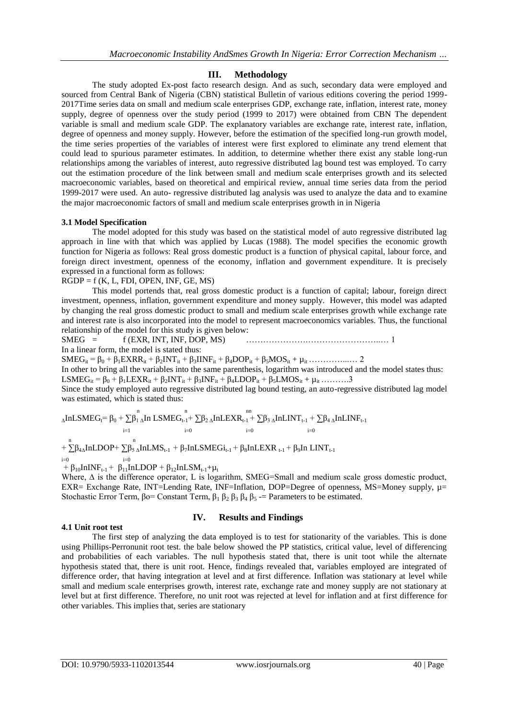# **III. Methodology**

The study adopted Ex-post facto research design. And as such, secondary data were employed and sourced from Central Bank of Nigeria (CBN) statistical Bulletin of various editions covering the period 1999- 2017Time series data on small and medium scale enterprises GDP, exchange rate, inflation, interest rate, money supply, degree of openness over the study period (1999 to 2017) were obtained from CBN The dependent variable is small and medium scale GDP. The explanatory variables are exchange rate, interest rate, inflation, degree of openness and money supply. However, before the estimation of the specified long-run growth model, the time series properties of the variables of interest were first explored to eliminate any trend element that could lead to spurious parameter estimates. In addition, to determine whether there exist any stable long-run relationships among the variables of interest, auto regressive distributed lag bound test was employed. To carry out the estimation procedure of the link between small and medium scale enterprises growth and its selected macroeconomic variables, based on theoretical and empirical review, annual time series data from the period 1999-2017 were used. An auto- regressive distributed lag analysis was used to analyze the data and to examine the major macroeconomic factors of small and medium scale enterprises growth in in Nigeria

## **3.1 Model Specification**

The model adopted for this study was based on the statistical model of auto regressive distributed lag approach in line with that which was applied by Lucas (1988). The model specifies the economic growth function for Nigeria as follows: Real gross domestic product is a function of physical capital, labour force, and foreign direct investment, openness of the economy, inflation and government expenditure. It is precisely expressed in a functional form as follows:

 $RGDP = f(K, L, FDI, OPEN, INF, GE, MS)$ 

This model portends that, real gross domestic product is a function of capital; labour, foreign direct investment, openness, inflation, government expenditure and money supply. However, this model was adapted by changing the real gross domestic product to small and medium scale enterprises growth while exchange rate and interest rate is also incorporated into the model to represent macroeconomics variables. Thus, the functional relationship of the model for this study is given below:

SMEG = f (EXR, INT, INF, DOP, MS) ………………….……………………..… 1

In a linear form, the model is stated thus:

SMEGit = β<sup>0</sup> + β1EXRRit + β2INTit + β3IINFit + β4DOPit + β5MOSit + µit …………...… 2

In other to bring all the variables into the same parenthesis, logarithm was introduced and the model states thus: LSMEG<sub>it</sub> =  $\beta_0 + \beta_1$ LEXR<sub>it</sub> +  $\beta_2$ INT<sub>it</sub> +  $\beta_3$ INF<sub>it</sub> +  $\beta_4$ LDOP<sub>it</sub> +  $\beta_5$ LMOS<sub>it</sub> +  $\mu_{it}$  ……….3

Since the study employed auto regressive distributed lag bound testing, an auto-regressive distributed lag model was estimated, which is stated thus:

 $\Delta$ InLSMEGt=  $\beta_0 + \sum_{\beta_1}^n \Delta$ In LSMEG $_{t-1}$ +  $\sum$  $\beta_2$   $\Delta$ InLEXR $_{t-1}$  +  $\sum$  $\beta_3$   $\Delta$ InLINT $_{t-1}$  +  $\sum$  $\beta_4$   $\Delta$ InLINF $_{t-1}$  $i=1$   $i=0$   $i=0$   $i=0$ 

 $+\sum_{\beta=4}^{n} \beta_{4\Lambda} InLDOP+\sum_{\beta\leq \Lambda}^{n} In LMS_{t-1} + \beta_{7} InLSMEGi_{t-1} + \beta_{8} InLEXR_{t-1} + \beta_{9} In LINT_{t-1}$ 

 $i=0$ <br>+  $\beta_{10}$ InINF<sub>t-1</sub> +  $\beta_{11}$ InLDOP +  $\beta_{12}$ InLSM<sub>t-1</sub>+ $\mu_t$ 

Where, ∆ is the difference operator, L is logarithm, SMEG=Small and medium scale gross domestic product, EXR= Exchange Rate, INT=Lending Rate, INF=Inflation, DOP=Degree of openness, MS=Money supply,  $\mu$ = Stochastic Error Term,  $\beta$ o= Constant Term,  $\beta_1$   $\beta_2$   $\beta_3$   $\beta_4$   $\beta_5$  -= Parameters to be estimated.

## **4.1 Unit root test**

# **IV. Results and Findings**

The first step of analyzing the data employed is to test for stationarity of the variables. This is done using Phillips-Perronunit root test. the bale below showed the PP statistics, critical value, level of differencing and probabilities of each variables. The null hypothesis stated that, there is unit toot while the alternate hypothesis stated that, there is unit root. Hence, findings revealed that, variables employed are integrated of difference order, that having integration at level and at first difference. Inflation was stationary at level while small and medium scale enterprises growth, interest rate, exchange rate and money supply are not stationary at level but at first difference. Therefore, no unit root was rejected at level for inflation and at first difference for other variables. This implies that, series are stationary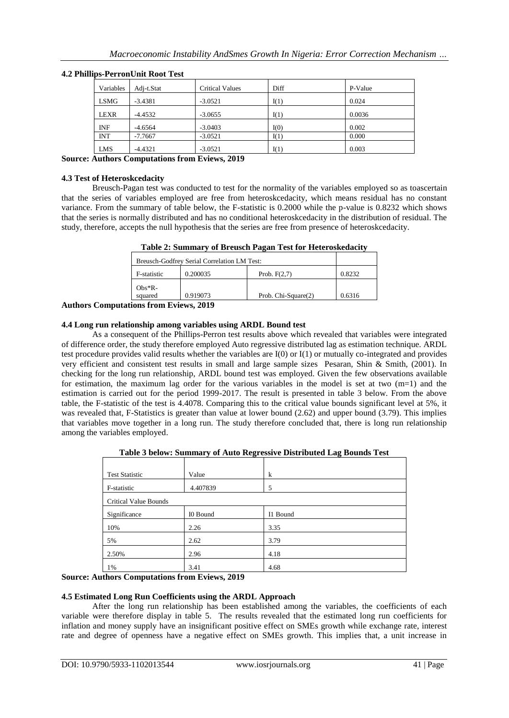| Variables   | Adi-t.Stat | <b>Critical Values</b> | Diff | P-Value |
|-------------|------------|------------------------|------|---------|
| <b>LSMG</b> | $-3.4381$  | $-3.0521$              | I(1) | 0.024   |
| <b>LEXR</b> | $-4.4532$  | $-3.0655$              | I(1) | 0.0036  |
| <b>INF</b>  | $-4.6564$  | $-3.0403$              | I(0) | 0.002   |
| <b>INT</b>  | $-7.7667$  | $-3.0521$              | I(1) | 0.000   |
| <b>LMS</b>  | $-4.4321$  | $-3.0521$              | I(1) | 0.003   |

## **4.2 Phillips-PerronUnit Root Test**

## **Source: Authors Computations from Eviews, 2019**

## **4.3 Test of Heteroskcedacity**

Breusch-Pagan test was conducted to test for the normality of the variables employed so as toascertain that the series of variables employed are free from heteroskcedacity, which means residual has no constant variance. From the summary of table below, the F-statistic is 0.2000 while the p-value is 0.8232 which shows that the series is normally distributed and has no conditional heteroskcedacity in the distribution of residual. The study, therefore, accepts the null hypothesis that the series are free from presence of heteroskcedacity.

| Table 2: Summary of Breusch Pagan Test for Heteroskedacity |  |  |
|------------------------------------------------------------|--|--|
|------------------------------------------------------------|--|--|

|                         | Breusch-Godfrey Serial Correlation LM Test: |                     |        |  |
|-------------------------|---------------------------------------------|---------------------|--------|--|
| F-statistic             | 0.200035                                    | Prob. $F(2,7)$      | 0.8232 |  |
| $Obs*R-$                |                                             |                     |        |  |
| squared                 | 0.919073                                    | Prob. Chi-Square(2) | 0.6316 |  |
| tions from Friews, 2010 |                                             |                     |        |  |

**Authors Computations from Eviews, 2019**

## **4.4 Long run relationship among variables using ARDL Bound test**

As a consequent of the Phillips-Perron test results above which revealed that variables were integrated of difference order, the study therefore employed Auto regressive distributed lag as estimation technique. ARDL test procedure provides valid results whether the variables are I(0) or I(1) or mutually co-integrated and provides very efficient and consistent test results in small and large sample sizes Pesaran, Shin & Smith, (2001). In checking for the long run relationship, ARDL bound test was employed. Given the few observations available for estimation, the maximum lag order for the various variables in the model is set at two (m=1) and the estimation is carried out for the period 1999-2017. The result is presented in table 3 below. From the above table, the F-statistic of the test is 4.4078. Comparing this to the critical value bounds significant level at 5%, it was revealed that, F-Statistics is greater than value at lower bound (2.62) and upper bound (3.79). This implies that variables move together in a long run. The study therefore concluded that, there is long run relationship among the variables employed.

**Table 3 below: Summary of Auto Regressive Distributed Lag Bounds Test**

| <b>Test Statistic</b>        | Value    | $\bf k$  |
|------------------------------|----------|----------|
| F-statistic                  | 4.407839 | 5        |
| <b>Critical Value Bounds</b> |          |          |
| Significance                 | I0 Bound | I1 Bound |
| 10%                          | 2.26     | 3.35     |
| 5%                           | 2.62     | 3.79     |
| 2.50%                        | 2.96     | 4.18     |
| 1%                           | 3.41     | 4.68     |

#### **Source: Authors Computations from Eviews, 2019**

## **4.5 Estimated Long Run Coefficients using the ARDL Approach**

After the long run relationship has been established among the variables, the coefficients of each variable were therefore display in table 5. The results revealed that the estimated long run coefficients for inflation and money supply have an insignificant positive effect on SMEs growth while exchange rate, interest rate and degree of openness have a negative effect on SMEs growth. This implies that, a unit increase in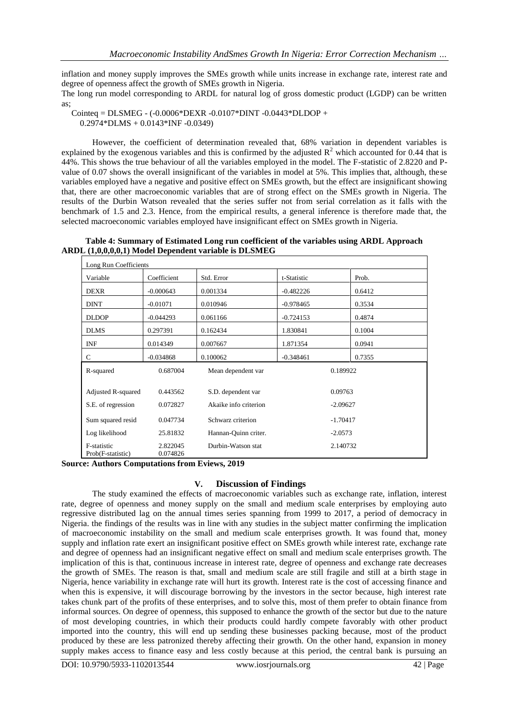inflation and money supply improves the SMEs growth while units increase in exchange rate, interest rate and degree of openness affect the growth of SMEs growth in Nigeria.

The long run model corresponding to ARDL for natural log of gross domestic product (LGDP) can be written as;

Cointeq = DLSMEG - (-0.0006\*DEXR -0.0107\*DINT -0.0443\*DLDOP + 0.2974\*DLMS + 0.0143\*INF -0.0349)

However, the coefficient of determination revealed that, 68% variation in dependent variables is explained by the exogenous variables and this is confirmed by the adjusted  $R^2$  which accounted for 0.44 that is 44%. This shows the true behaviour of all the variables employed in the model. The F-statistic of 2.8220 and Pvalue of 0.07 shows the overall insignificant of the variables in model at 5%. This implies that, although, these variables employed have a negative and positive effect on SMEs growth, but the effect are insignificant showing that, there are other macroeconomic variables that are of strong effect on the SMEs growth in Nigeria. The results of the Durbin Watson revealed that the series suffer not from serial correlation as it falls with the benchmark of 1.5 and 2.3. Hence, from the empirical results, a general inference is therefore made that, the selected macroeconomic variables employed have insignificant effect on SMEs growth in Nigeria.

**Table 4: Summary of Estimated Long run coefficient of the variables using ARDL Approach ARDL (1,0,0,0,0,1) Model Dependent variable is DLSMEG** 

| Long Run Coefficients            |                      |                       |             |        |
|----------------------------------|----------------------|-----------------------|-------------|--------|
| Variable                         | Coefficient          | Std. Error            | t-Statistic | Prob.  |
| <b>DEXR</b>                      | $-0.000643$          | 0.001334              | $-0.482226$ | 0.6412 |
| <b>DINT</b>                      | $-0.01071$           | 0.010946              | $-0.978465$ | 0.3534 |
| <b>DLDOP</b>                     | $-0.044293$          | 0.061166              | $-0.724153$ | 0.4874 |
| <b>DLMS</b>                      | 0.297391             | 0.162434              | 1.830841    | 0.1004 |
| <b>INF</b>                       | 0.014349             | 0.007667              | 1.871354    | 0.0941 |
| C                                | $-0.034868$          | 0.100062              | $-0.348461$ | 0.7355 |
| R-squared                        | 0.687004             | Mean dependent var    | 0.189922    |        |
| Adjusted R-squared               | 0.443562             | S.D. dependent var    | 0.09763     |        |
| S.E. of regression               | 0.072827             | Akaike info criterion | $-2.09627$  |        |
| Sum squared resid                | 0.047734             | Schwarz criterion     | $-1.70417$  |        |
| Log likelihood                   | 25.81832             | Hannan-Quinn criter.  | $-2.0573$   |        |
| F-statistic<br>Prob(F-statistic) | 2.822045<br>0.074826 | Durbin-Watson stat    | 2.140732    |        |

**Source: Authors Computations from Eviews, 2019**

## **V. Discussion of Findings**

The study examined the effects of macroeconomic variables such as exchange rate, inflation, interest rate, degree of openness and money supply on the small and medium scale enterprises by employing auto regressive distributed lag on the annual times series spanning from 1999 to 2017, a period of democracy in Nigeria. the findings of the results was in line with any studies in the subject matter confirming the implication of macroeconomic instability on the small and medium scale enterprises growth. It was found that, money supply and inflation rate exert an insignificant positive effect on SMEs growth while interest rate, exchange rate and degree of openness had an insignificant negative effect on small and medium scale enterprises growth. The implication of this is that, continuous increase in interest rate, degree of openness and exchange rate decreases the growth of SMEs. The reason is that, small and medium scale are still fragile and still at a birth stage in Nigeria, hence variability in exchange rate will hurt its growth. Interest rate is the cost of accessing finance and when this is expensive, it will discourage borrowing by the investors in the sector because, high interest rate takes chunk part of the profits of these enterprises, and to solve this, most of them prefer to obtain finance from informal sources. On degree of openness, this supposed to enhance the growth of the sector but due to the nature of most developing countries, in which their products could hardly compete favorably with other product imported into the country, this will end up sending these businesses packing because, most of the product produced by these are less patronized thereby affecting their growth. On the other hand, expansion in money supply makes access to finance easy and less costly because at this period, the central bank is pursuing an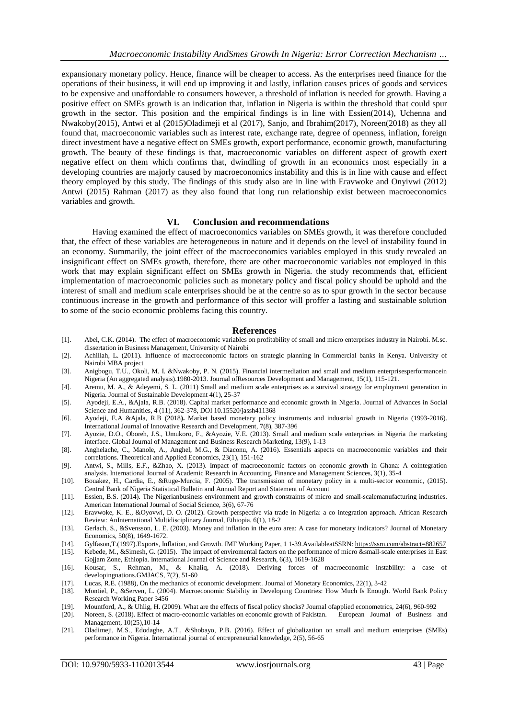expansionary monetary policy. Hence, finance will be cheaper to access. As the enterprises need finance for the operations of their business, it will end up improving it and lastly, inflation causes prices of goods and services to be expensive and unaffordable to consumers however, a threshold of inflation is needed for growth. Having a positive effect on SMEs growth is an indication that, inflation in Nigeria is within the threshold that could spur growth in the sector. This position and the empirical findings is in line with Essien(2014), Uchenna and Nwakoby(2015), Antwi et al (2015)Oladimeji et al (2017), Sanjo, and Ibrahim(2017), Noreen(2018) as they all found that, macroeconomic variables such as interest rate, exchange rate, degree of openness, inflation, foreign direct investment have a negative effect on SMEs growth, export performance, economic growth, manufacturing growth. The beauty of these findings is that, macroeconomic variables on different aspect of growth exert negative effect on them which confirms that, dwindling of growth in an economics most especially in a developing countries are majorly caused by macroeconomics instability and this is in line with cause and effect theory employed by this study. The findings of this study also are in line with Eravwoke and Onyivwi (2012) Antwi (2015) Rahman (2017) as they also found that long run relationship exist between macroeconomics variables and growth.

## **VI. Conclusion and recommendations**

Having examined the effect of macroeconomics variables on SMEs growth, it was therefore concluded that, the effect of these variables are heterogeneous in nature and it depends on the level of instability found in an economy. Summarily, the joint effect of the macroeconomics variables employed in this study revealed an insignificant effect on SMEs growth, therefore, there are other macroeconomic variables not employed in this work that may explain significant effect on SMEs growth in Nigeria. the study recommends that, efficient implementation of macroeconomic policies such as monetary policy and fiscal policy should be uphold and the interest of small and medium scale enterprises should be at the centre so as to spur growth in the sector because continuous increase in the growth and performance of this sector will proffer a lasting and sustainable solution to some of the socio economic problems facing this country.

#### **References**

- [1]. Abel, C.K. (2014). The effect of macroeconomic variables on profitability of small and micro enterprises industry in Nairobi. M.sc. dissertation in Business Management, University of Nairobi
- [2]. Achillah, L. (2011). Influence of macroeconomic factors on strategic planning in Commercial banks in Kenya. University of Nairobi MBA project
- [3]. Anigbogu, T.U., Okoli, M. I. &Nwakoby, P. N. (2015). Financial intermediation and small and medium enterprisesperformancein Nigeria (An aggregated analysis).1980-2013. Journal ofResources Development and Management, 15(1), 115-121.
- [4]. Aremu, M. A., & Adeyemi, S. L. (2011) Small and medium scale enterprises as a survival strategy for employment generation in Nigeria. Journal of Sustainable Development 4(1), 25-37
- [5]. Ayodeji, E.A., &Ajala, R.B. (2018). Capital market performance and economic growth in Nigeria. Journal of Advances in Social Science and Humanities, 4 (11), 362-378, DOI 10.15520/jassh411368
- [6]. Ayodeji, E.A &Ajala, R.B (2018**).** Market based monetary policy instruments and industrial growth in Nigeria (1993-2016). International Journal of Innovative Research and Development, 7(8), 387-396
- [7]. Ayozie, D.O., Oboreh, J.S., Umukoro, F., &Ayozie, V.E. (2013). Small and medium scale enterprises in Nigeria the marketing interface. Global Journal of Management and Business Research Marketing, 13(9), 1-13
- [8]. Anghelache, C., Manole, A., Anghel, M.G., & Diaconu, A. (2016). Essentials aspects on macroeconomic variables and their correlations. Theoretical and Applied Economics, 23(1), 151-162
- [9]. Antwi, S., Mills, E.F., &Zhao, X. (2013). Impact of macroeconomic factors on economic growth in Ghana: A cointegration analysis. International Journal of Academic Research in Accounting, Finance and Management Sciences, 3(1), 35-4
- [10]. Bouakez, H., Cardia, E., &Ruge-Murcia, F. (2005). The transmission of monetary policy in a multi-sector economic, (2015). Central Bank of Nigeria Statistical Bulletin and Annual Report and Statement of Account
- [11]. Essien, B.S. (2014). The Nigerianbusiness environment and growth constraints of micro and small-scalemanufacturing industries. American International Journal of Social Science, 3(6), 67-76
- [12]. Eravwoke, K. E., &Oyovwi, D. O. (2012). Growth perspective via trade in Nigeria: a co integration approach. African Research Review: AnInternational Multidisciplinary Journal, Ethiopia. 6(1), 18-2
- [13]. Gerlach, S., &Svensson, L. E. (2003). Money and inflation in the euro area: A case for monetary indicators? Journal of Monetary Economics, 50(8), 1649-1672.
- [14]. Gylfason,T.(1997).Exports, Inflation, and Growth. IMF Working Paper, 1 1-39.AvailableatSSRN: <https://ssrn.com/abstract=882657>
- [15]. Kebede, M., &Simesh, G. (2015). The impact of enviromental factors on the performance of micro &small-scale enterprises in East Gojjam Zone, Ethiopia. International Journal of Science and Research, 6(3), 1619-1628
- [16]. Kousar, S., Rehman, M., & Khaliq, A. (2018). Deriving forces of macroeconomic instability: a case of developingnations.GMJACS, 7(2), 51-60
- [17]. Lucas, R.E. (1988), On the mechanics of economic development. Journal of Monetary Economics, 22(1), 3-42
- [18]. Montiel, P., &Serven, L. (2004). Macroeconomic Stability in Developing Countries: How Much Is Enough. World Bank Policy Research Working Paper 3456
- [19]. Mountford, A., & Uhlig, H. (2009). What are the effects of fiscal policy shocks? Journal ofapplied econometrics, 24(6), 960-992
- [20]. Noreen, S. (2018). Effect of macro-economic variables on economic growth of Pakistan. European Journal of Business and Management, 10(25),10-14
- [21]. Oladimeji, M.S., Edodaghe, A.T., &Shobayo, P.B. (2016). Effect of globalization on small and medium enterprises (SMEs) performance in Nigeria. International journal of entrepreneurial knowledge, 2(5), 56-65